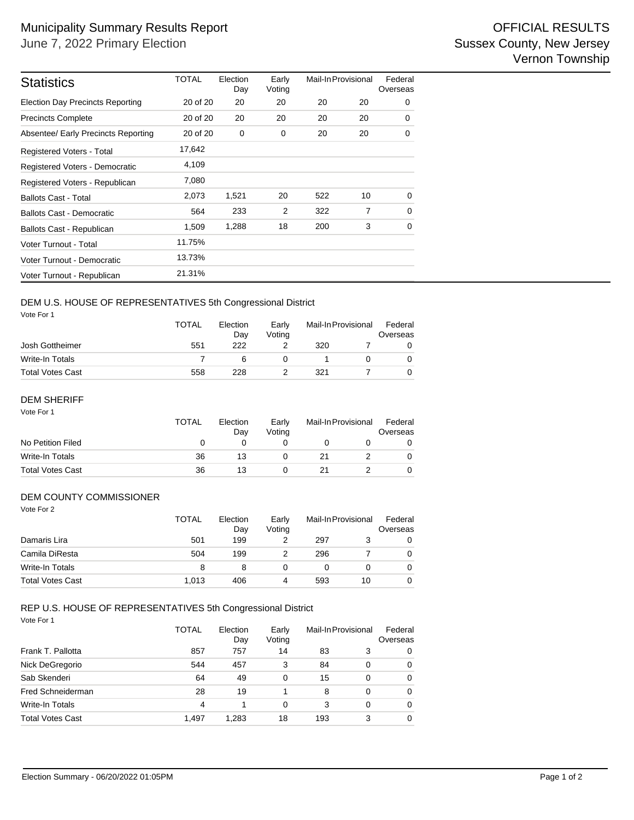| <b>Statistics</b>                       | <b>TOTAL</b> | Election<br>Day | Early<br>Voting | Mail-In Provisional |                | Federal<br>Overseas |
|-----------------------------------------|--------------|-----------------|-----------------|---------------------|----------------|---------------------|
| <b>Election Day Precincts Reporting</b> | 20 of 20     | 20              | 20              | 20                  | 20             | 0                   |
| <b>Precincts Complete</b>               | 20 of 20     | 20              | 20              | 20                  | 20             | 0                   |
| Absentee/ Early Precincts Reporting     | 20 of 20     | 0               | 0               | 20                  | 20             | 0                   |
| Registered Voters - Total               | 17,642       |                 |                 |                     |                |                     |
| Registered Voters - Democratic          | 4,109        |                 |                 |                     |                |                     |
| Registered Voters - Republican          | 7,080        |                 |                 |                     |                |                     |
| <b>Ballots Cast - Total</b>             | 2,073        | 1,521           | 20              | 522                 | 10             | $\Omega$            |
| <b>Ballots Cast - Democratic</b>        | 564          | 233             | $\overline{2}$  | 322                 | $\overline{7}$ | 0                   |
| Ballots Cast - Republican               | 1,509        | 1,288           | 18              | 200                 | 3              | $\Omega$            |
| Voter Turnout - Total                   | 11.75%       |                 |                 |                     |                |                     |
| Voter Turnout - Democratic              | 13.73%       |                 |                 |                     |                |                     |
| Voter Turnout - Republican              | 21.31%       |                 |                 |                     |                |                     |

## DEM U.S. HOUSE OF REPRESENTATIVES 5th Congressional District

Vote For 1

|                         | TOTAL | Election<br>Early<br>Votina<br>Dav |  | Mail-In Provisional |  | Federal<br>Overseas |  |
|-------------------------|-------|------------------------------------|--|---------------------|--|---------------------|--|
| Josh Gottheimer         | 551   | 222                                |  | 320                 |  |                     |  |
| Write-In Totals         |       |                                    |  |                     |  |                     |  |
| <b>Total Votes Cast</b> | 558   | 228                                |  | 321                 |  |                     |  |

## DEM SHERIFF

| Vote For 1              | <b>TOTAL</b> | Election<br>Day | Early<br>Votina | Mail-In Provisional | Federal<br>Overseas |
|-------------------------|--------------|-----------------|-----------------|---------------------|---------------------|
| No Petition Filed       | 0            | 0               |                 |                     |                     |
| Write-In Totals         | 36           | 13              |                 | 21                  | 0                   |
| <b>Total Votes Cast</b> | 36           | 13              |                 | 21                  | 0                   |

### DEM COUNTY COMMISSIONER

| Vote For 2              | <b>TOTAL</b> | Election<br>Day | Early<br>Voting |     | Mail-In Provisional | Federal<br>Overseas |
|-------------------------|--------------|-----------------|-----------------|-----|---------------------|---------------------|
| Damaris Lira            | 501          | 199             | 2               | 297 | 3                   | 0                   |
| Camila DiResta          | 504          | 199             | 2               | 296 |                     | 0                   |
| <b>Write-In Totals</b>  | 8            | 8               | 0               | 0   | 0                   | $\Omega$            |
| <b>Total Votes Cast</b> | 1.013        | 406             | 4               | 593 | 10                  | $\Omega$            |

#### Vote For 1 REP U.S. HOUSE OF REPRESENTATIVES 5th Congressional District

|                          | <b>TOTAL</b> | Election<br>Day | Early<br>Voting | Mail-In Provisional |   | Federal<br>Overseas |
|--------------------------|--------------|-----------------|-----------------|---------------------|---|---------------------|
| Frank T. Pallotta        | 857          | 757             | 14              | 83                  | 3 | $\Omega$            |
| Nick DeGregorio          | 544          | 457             | 3               | 84                  | 0 | $\Omega$            |
| Sab Skenderi             | 64           | 49              | 0               | 15                  | 0 | $\Omega$            |
| <b>Fred Schneiderman</b> | 28           | 19              |                 | 8                   | 0 | $\Omega$            |
| <b>Write-In Totals</b>   | 4            |                 | 0               | 3                   | 0 | $\Omega$            |
| <b>Total Votes Cast</b>  | 1.497        | 1.283           | 18              | 193                 | 3 | $\Omega$            |